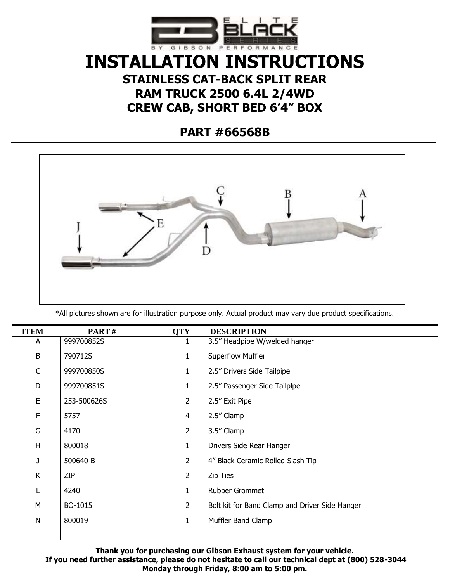

## **INSTALLATION INSTRUCTIONS STAINLESS CAT-BACK SPLIT REAR RAM TRUCK 2500 6.4L 2/4WD CREW CAB, SHORT BED 6'4" BOX**

**PART #66568B**



\*All pictures shown are for illustration purpose only. Actual product may vary due product specifications.

| <b>ITEM</b> | PART#       | <b>QTY</b>     | <b>DESCRIPTION</b>                             |
|-------------|-------------|----------------|------------------------------------------------|
| A           | 999700852S  | ı              | 3.5" Headpipe W/welded hanger                  |
| B           | 790712S     | $\mathbf{1}$   | Superflow Muffler                              |
| $\mathsf C$ | 999700850S  | $\mathbf{1}$   | 2.5" Drivers Side Tailpipe                     |
| D           | 999700851S  | $\mathbf{1}$   | 2.5" Passenger Side Tailplpe                   |
| E           | 253-500626S | $\overline{2}$ | 2.5" Exit Pipe                                 |
| F           | 5757        | $\overline{4}$ | 2.5" Clamp                                     |
| G           | 4170        | $\overline{2}$ | 3.5" Clamp                                     |
| H           | 800018      | $\mathbf{1}$   | Drivers Side Rear Hanger                       |
| J.          | 500640-B    | $\overline{2}$ | 4" Black Ceramic Rolled Slash Tip              |
| K           | ZIP         | $\overline{2}$ | Zip Ties                                       |
|             | 4240        | 1              | Rubber Grommet                                 |
| M           | BO-1015     | $\overline{2}$ | Bolt kit for Band Clamp and Driver Side Hanger |
| N           | 800019      | $\mathbf{1}$   | Muffler Band Clamp                             |
|             |             |                |                                                |

**Thank you for purchasing our Gibson Exhaust system for your vehicle. If you need further assistance, please do not hesitate to call our technical dept at (800) 528-3044 Monday through Friday, 8:00 am to 5:00 pm.**